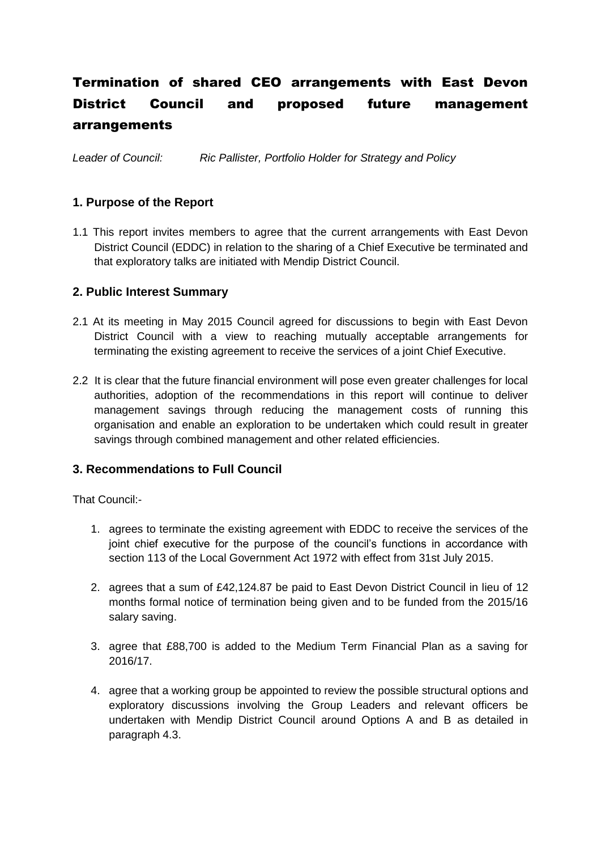# Termination of shared CEO arrangements with East Devon District Council and proposed future management arrangements

*Leader of Council: Ric Pallister, Portfolio Holder for Strategy and Policy*

# **1. Purpose of the Report**

1.1 This report invites members to agree that the current arrangements with East Devon District Council (EDDC) in relation to the sharing of a Chief Executive be terminated and that exploratory talks are initiated with Mendip District Council.

# **2. Public Interest Summary**

- 2.1 At its meeting in May 2015 Council agreed for discussions to begin with East Devon District Council with a view to reaching mutually acceptable arrangements for terminating the existing agreement to receive the services of a joint Chief Executive.
- 2.2 It is clear that the future financial environment will pose even greater challenges for local authorities, adoption of the recommendations in this report will continue to deliver management savings through reducing the management costs of running this organisation and enable an exploration to be undertaken which could result in greater savings through combined management and other related efficiencies.

# **3. Recommendations to Full Council**

That Council:-

- 1. agrees to terminate the existing agreement with EDDC to receive the services of the joint chief executive for the purpose of the council's functions in accordance with section 113 of the Local Government Act 1972 with effect from 31st July 2015.
- 2. agrees that a sum of £42,124.87 be paid to East Devon District Council in lieu of 12 months formal notice of termination being given and to be funded from the 2015/16 salary saving.
- 3. agree that £88,700 is added to the Medium Term Financial Plan as a saving for 2016/17.
- 4. agree that a working group be appointed to review the possible structural options and exploratory discussions involving the Group Leaders and relevant officers be undertaken with Mendip District Council around Options A and B as detailed in paragraph 4.3.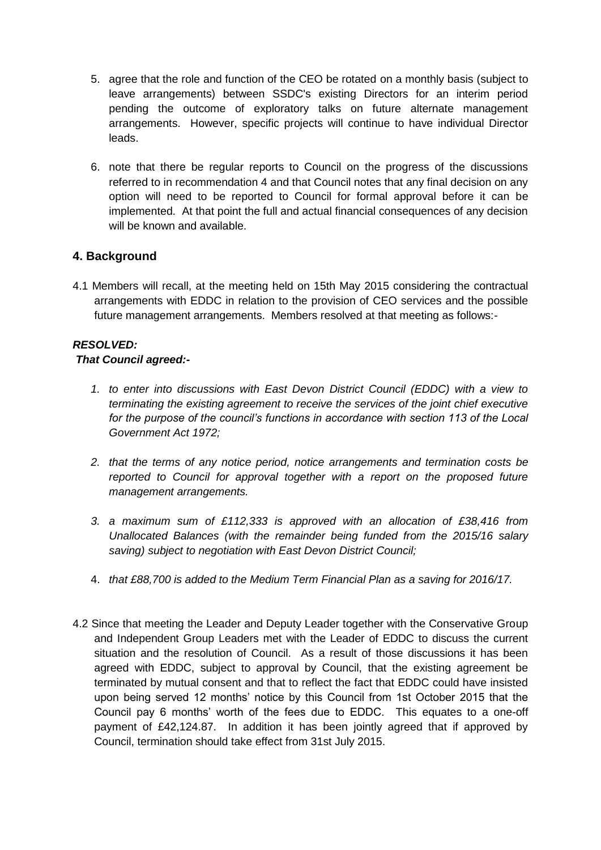- 5. agree that the role and function of the CEO be rotated on a monthly basis (subject to leave arrangements) between SSDC's existing Directors for an interim period pending the outcome of exploratory talks on future alternate management arrangements. However, specific projects will continue to have individual Director leads.
- 6. note that there be regular reports to Council on the progress of the discussions referred to in recommendation 4 and that Council notes that any final decision on any option will need to be reported to Council for formal approval before it can be implemented. At that point the full and actual financial consequences of any decision will be known and available.

# **4. Background**

4.1 Members will recall, at the meeting held on 15th May 2015 considering the contractual arrangements with EDDC in relation to the provision of CEO services and the possible future management arrangements. Members resolved at that meeting as follows:-

#### *RESOLVED:*

#### *That Council agreed:-*

- *1. to enter into discussions with East Devon District Council (EDDC) with a view to terminating the existing agreement to receive the services of the joint chief executive for the purpose of the council's functions in accordance with section 113 of the Local Government Act 1972;*
- *2. that the terms of any notice period, notice arrangements and termination costs be*  reported to Council for approval together with a report on the proposed future *management arrangements.*
- *3. a maximum sum of £112,333 is approved with an allocation of £38,416 from Unallocated Balances (with the remainder being funded from the 2015/16 salary saving) subject to negotiation with East Devon District Council;*
- 4. *that £88,700 is added to the Medium Term Financial Plan as a saving for 2016/17.*
- 4.2 Since that meeting the Leader and Deputy Leader together with the Conservative Group and Independent Group Leaders met with the Leader of EDDC to discuss the current situation and the resolution of Council. As a result of those discussions it has been agreed with EDDC, subject to approval by Council, that the existing agreement be terminated by mutual consent and that to reflect the fact that EDDC could have insisted upon being served 12 months' notice by this Council from 1st October 2015 that the Council pay 6 months' worth of the fees due to EDDC. This equates to a one-off payment of £42,124.87. In addition it has been jointly agreed that if approved by Council, termination should take effect from 31st July 2015.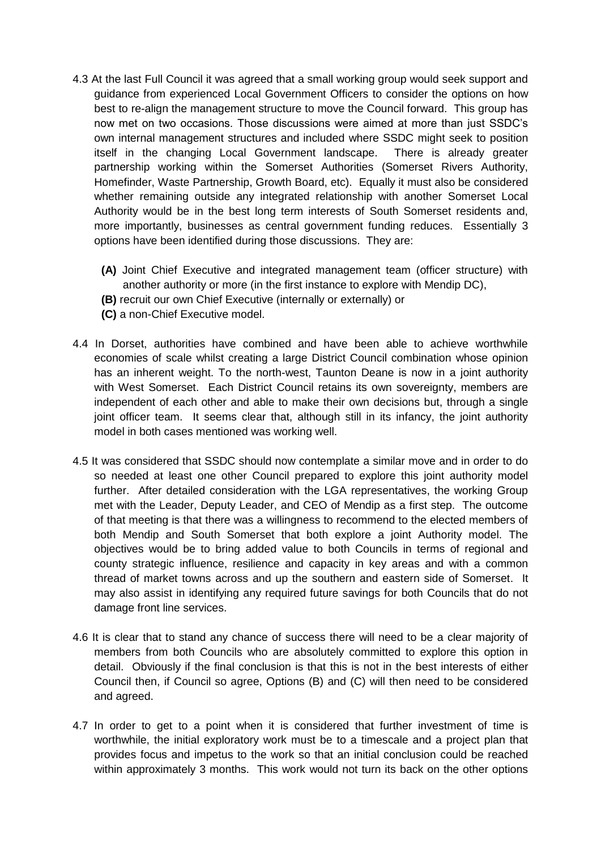- 4.3 At the last Full Council it was agreed that a small working group would seek support and guidance from experienced Local Government Officers to consider the options on how best to re-align the management structure to move the Council forward. This group has now met on two occasions. Those discussions were aimed at more than just SSDC's own internal management structures and included where SSDC might seek to position itself in the changing Local Government landscape. There is already greater partnership working within the Somerset Authorities (Somerset Rivers Authority, Homefinder, Waste Partnership, Growth Board, etc). Equally it must also be considered whether remaining outside any integrated relationship with another Somerset Local Authority would be in the best long term interests of South Somerset residents and, more importantly, businesses as central government funding reduces. Essentially 3 options have been identified during those discussions. They are:
	- **(A)** Joint Chief Executive and integrated management team (officer structure) with another authority or more (in the first instance to explore with Mendip DC),
	- **(B)** recruit our own Chief Executive (internally or externally) or
	- **(C)** a non-Chief Executive model.
- 4.4 In Dorset, authorities have combined and have been able to achieve worthwhile economies of scale whilst creating a large District Council combination whose opinion has an inherent weight. To the north-west, Taunton Deane is now in a joint authority with West Somerset. Each District Council retains its own sovereignty, members are independent of each other and able to make their own decisions but, through a single joint officer team. It seems clear that, although still in its infancy, the joint authority model in both cases mentioned was working well.
- 4.5 It was considered that SSDC should now contemplate a similar move and in order to do so needed at least one other Council prepared to explore this joint authority model further. After detailed consideration with the LGA representatives, the working Group met with the Leader, Deputy Leader, and CEO of Mendip as a first step. The outcome of that meeting is that there was a willingness to recommend to the elected members of both Mendip and South Somerset that both explore a joint Authority model. The objectives would be to bring added value to both Councils in terms of regional and county strategic influence, resilience and capacity in key areas and with a common thread of market towns across and up the southern and eastern side of Somerset. It may also assist in identifying any required future savings for both Councils that do not damage front line services.
- 4.6 It is clear that to stand any chance of success there will need to be a clear majority of members from both Councils who are absolutely committed to explore this option in detail. Obviously if the final conclusion is that this is not in the best interests of either Council then, if Council so agree, Options (B) and (C) will then need to be considered and agreed.
- 4.7 In order to get to a point when it is considered that further investment of time is worthwhile, the initial exploratory work must be to a timescale and a project plan that provides focus and impetus to the work so that an initial conclusion could be reached within approximately 3 months. This work would not turn its back on the other options